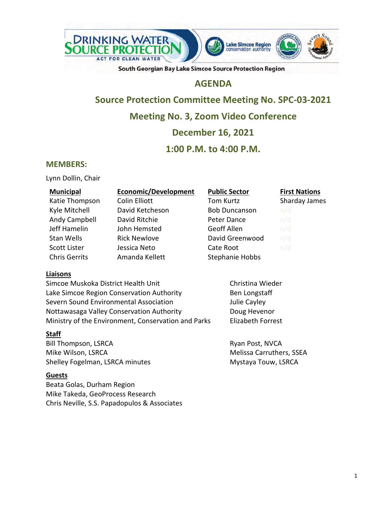

# **AGENDA**

# **Source Protection Committee Meeting No. SPC-03-2021**

# **Meeting No. 3, Zoom Video Conference**

# **December 16, 2021**

# **1:00 P.M. to 4:00 P.M.**

## **MEMBERS:**

Lynn Dollin, Chair

| <b>Municipal</b>     | <b>Economic/Development</b> | <b>Public Sector</b>   | <b>First Nations</b> |
|----------------------|-----------------------------|------------------------|----------------------|
| Katie Thompson       | Colin Elliott               | Tom Kurtz              | Sharday James        |
| Kyle Mitchell        | David Ketcheson             | <b>Bob Duncanson</b>   | n/d                  |
| <b>Andy Campbell</b> | David Ritchie               | Peter Dance            | n/d                  |
| Jeff Hamelin         | John Hemsted                | Geoff Allen            | n/d                  |
| Stan Wells           | <b>Rick Newlove</b>         | David Greenwood        | n/d                  |
| <b>Scott Lister</b>  | Jessica Neto                | Cate Root              | n/d                  |
| <b>Chris Gerrits</b> | Amanda Kellett              | <b>Stephanie Hobbs</b> |                      |
|                      |                             |                        |                      |

### **Liaisons**

Simcoe Muskoka District Health Unit Christina Wieder Lake Simcoe Region Conservation Authority Ben Longstaff Severn Sound Environmental Association Fig. 2016 and Julie Cayley Nottawasaga Valley Conservation Authority **Doug Hevenor** Ministry of the Environment, Conservation and Parks Elizabeth Forrest

#### **Staff**

Bill Thompson, LSRCA Ryan Post, NVCA Mike Wilson, LSRCA Melissa Carruthers, SSEA Shelley Fogelman, LSRCA minutes Mystaya Touw, LSRCA

## **Guests**

Beata Golas, Durham Region Mike Takeda, GeoProcess Research Chris Neville, S.S. Papadopulos & Associates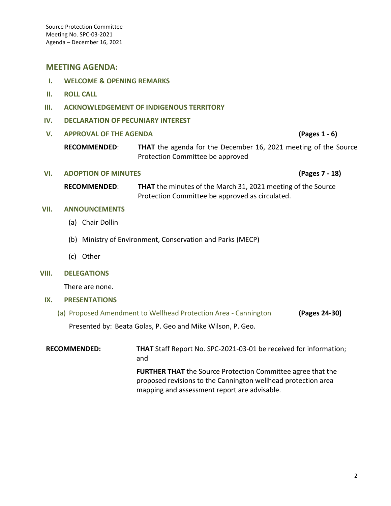## **MEETING AGENDA:**

- **I. WELCOME & OPENING REMARKS**
- **II. ROLL CALL**
- **III. ACKNOWLEDGEMENT OF INDIGENOUS TERRITORY**
- **IV. DECLARATION OF PECUNIARY INTEREST**
- **V. APPROVAL OF THE AGENDA (Pages 1 6)**
	- **RECOMMENDED**: **THAT** the agenda for the December 16, 2021 meeting of the Source Protection Committee be approved

#### **VI. ADOPTION OF MINUTES (Pages 7 - 18)**

**RECOMMENDED**: **THAT** the minutes of the March 31, 2021 meeting of the Source Protection Committee be approved as circulated.

#### **VII. ANNOUNCEMENTS**

- (a) Chair Dollin
- (b) Ministry of Environment, Conservation and Parks (MECP)
- (c) Other

#### **VIII. DELEGATIONS**

There are none.

#### **IX. PRESENTATIONS**

(a) Proposed Amendment to Wellhead Protection Area - Cannington **(Pages 24-30)**

Presented by: Beata Golas, P. Geo and Mike Wilson, P. Geo.

**RECOMMENDED: THAT** Staff Report No. SPC-2021-03-01 be received for information; and

> **FURTHER THAT** the Source Protection Committee agree that the proposed revisions to the Cannington wellhead protection area mapping and assessment report are advisable.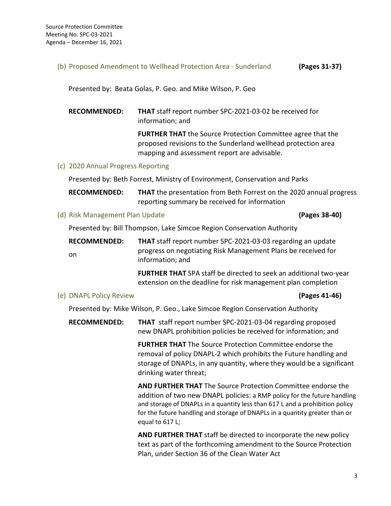#### (b) Proposed Amendment to Wellhead Protection Area - Sunderland **(Pages 31-37)**

Presented by: Beata Golas, P. Geo. and Mike Wilson, P. Geo

**RECOMMENDED: THAT** staff report number SPC-2021-03-02 be received for information; and

> **FURTHER THAT** the Source Protection Committee agree that the proposed revisions to the Sunderland wellhead protection area mapping and assessment report are advisable.

#### (c) 2020 Annual Progress Reporting

Presented by: Beth Forrest, Ministry of Environment, Conservation and Parks

| <b>RECOMMENDED:</b> | <b>THAT</b> the presentation from Beth Forrest on the 2020 annual progress |
|---------------------|----------------------------------------------------------------------------|
|                     | reporting summary be received for information                              |

(d) Risk Management Plan Update **(Pages 38-40)**

Presented by: Bill Thompson, Lake Simcoe Region Conservation Authority

**RECOMMENDED: THAT** staff report number SPC-2021-03-03 regarding an update on progress on negotiating Risk Management Plans be received for information; and

> **FURTHER THAT** SPA staff be directed to seek an additional two-year extension on the deadline for risk management plan completion

#### (e) DNAPL Policy Review **(Pages 41-46)**

Presented by: Mike Wilson, P. Geo., Lake Simcoe Region Conservation Authority

**RECOMMENDED: THAT** staff report number SPC-2021-03-04 regarding proposed new DNAPL prohibition policies be received for information; and

> **FURTHER THAT** The Source Protection Committee endorse the removal of policy DNAPL-2 which prohibits the Future handling and storage of DNAPLs, in any quantity, where they would be a significant drinking water threat;

**AND FURTHER THAT** The Source Protection Committee endorse the addition of two new DNAPL policies: a RMP policy for the future handling and storage of DNAPLs in a quantity less than 617 L and a prohibition policy for the future handling and storage of DNAPLs in a quantity greater than or equal to 617 L;

**AND FURTHER THAT** staff be directed to incorporate the new policy text as part of the forthcoming amendment to the Source Protection Plan, under Section 36 of the Clean Water Act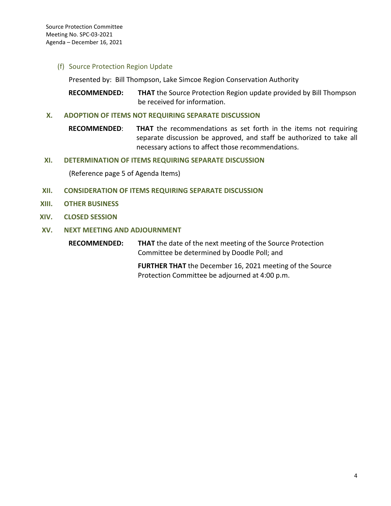(f) Source Protection Region Update

Presented by: Bill Thompson, Lake Simcoe Region Conservation Authority

**RECOMMENDED: THAT** the Source Protection Region update provided by Bill Thompson be received for information.

#### **X. ADOPTION OF ITEMS NOT REQUIRING SEPARATE DISCUSSION**

**RECOMMENDED**: **THAT** the recommendations as set forth in the items not requiring separate discussion be approved, and staff be authorized to take all necessary actions to affect those recommendations.

#### **XI. DETERMINATION OF ITEMS REQUIRING SEPARATE DISCUSSION**

(Reference page 5 of Agenda Items)

- **XII. CONSIDERATION OF ITEMS REQUIRING SEPARATE DISCUSSION**
- **XIII. OTHER BUSINESS**
- **XIV. CLOSED SESSION**

#### **XV. NEXT MEETING AND ADJOURNMENT**

**RECOMMENDED: THAT** the date of the next meeting of the Source Protection Committee be determined by Doodle Poll; and

> **FURTHER THAT** the December 16, 2021 meeting of the Source Protection Committee be adjourned at 4:00 p.m.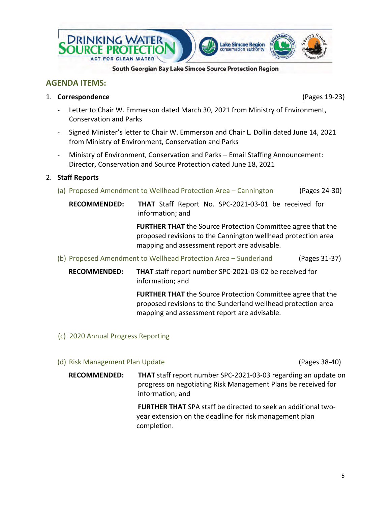5



# **AGENDA ITEMS:**

- 1. **Correspondence** (Pages 19-23)
	- Letter to Chair W. Emmerson dated March 30, 2021 from Ministry of Environment, Conservation and Parks
	- Signed Minister's letter to Chair W. Emmerson and Chair L. Dollin dated June 14, 2021 from Ministry of Environment, Conservation and Parks
	- Ministry of Environment, Conservation and Parks Email Staffing Announcement: Director, Conservation and Source Protection dated June 18, 2021

# 2. **Staff Reports**

- (a) Proposed Amendment to Wellhead Protection Area Cannington (Pages 24-30)
	- **RECOMMENDED: THAT** Staff Report No. SPC-2021-03-01 be received for information; and

**FURTHER THAT** the Source Protection Committee agree that the proposed revisions to the Cannington wellhead protection area mapping and assessment report are advisable.

- (b) Proposed Amendment to Wellhead Protection Area Sunderland (Pages 31-37)
	- **RECOMMENDED: THAT** staff report number SPC-2021-03-02 be received for information; and

**FURTHER THAT** the Source Protection Committee agree that the proposed revisions to the Sunderland wellhead protection area mapping and assessment report are advisable.

(c) 2020 Annual Progress Reporting

# (d) Risk Management Plan Update (Pages 38-40)

**RECOMMENDED: THAT** staff report number SPC-2021-03-03 regarding an update on progress on negotiating Risk Management Plans be received for information; and

> **FURTHER THAT** SPA staff be directed to seek an additional twoyear extension on the deadline for risk management plan completion.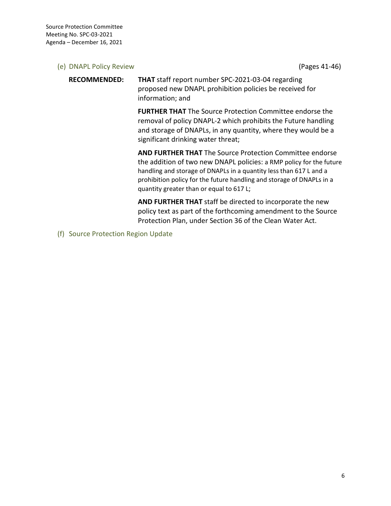#### (e) DNAPL Policy Review (Pages 41-46)

**RECOMMENDED: THAT** staff report number SPC-2021-03-04 regarding proposed new DNAPL prohibition policies be received for information; and

> **FURTHER THAT** The Source Protection Committee endorse the removal of policy DNAPL-2 which prohibits the Future handling and storage of DNAPLs, in any quantity, where they would be a significant drinking water threat;

**AND FURTHER THAT** The Source Protection Committee endorse the addition of two new DNAPL policies: a RMP policy for the future handling and storage of DNAPLs in a quantity less than 617 L and a prohibition policy for the future handling and storage of DNAPLs in a quantity greater than or equal to 617 L;

**AND FURTHER THAT** staff be directed to incorporate the new policy text as part of the forthcoming amendment to the Source Protection Plan, under Section 36 of the Clean Water Act.

#### (f) Source Protection Region Update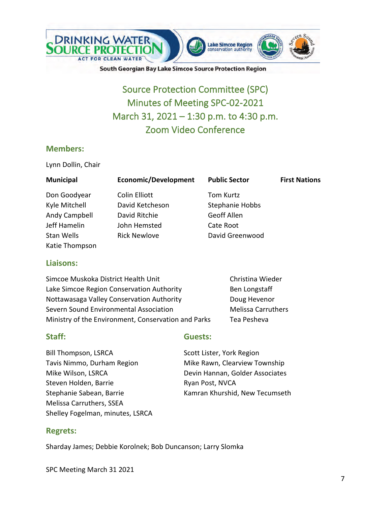

# Source Protection Committee (SPC) Minutes of Meeting SPC-02-2021 March 31, 2021 – 1:30 p.m. to 4:30 p.m. Zoom Video Conference

## **Members:**

Lynn Dollin, Chair

| <b>Municipal</b> | <b>Economic/Development</b> | <b>Public Sector</b> | <b>First Nations</b> |
|------------------|-----------------------------|----------------------|----------------------|
| Don Goodyear     | Colin Elliott               | <b>Tom Kurtz</b>     |                      |
| Kyle Mitchell    | David Ketcheson             | Stephanie Hobbs      |                      |
| Andy Campbell    | David Ritchie               | Geoff Allen          |                      |
| Jeff Hamelin     | John Hemsted                | Cate Root            |                      |
| Stan Wells       | <b>Rick Newlove</b>         | David Greenwood      |                      |
| Katie Thompson   |                             |                      |                      |
|                  |                             |                      |                      |

## **Liaisons:**

| Simcoe Muskoka District Health Unit                 | Christina Wieder          |
|-----------------------------------------------------|---------------------------|
| Lake Simcoe Region Conservation Authority           | Ben Longstaff             |
| Nottawasaga Valley Conservation Authority           | Doug Hevenor              |
| Severn Sound Environmental Association              | <b>Melissa Carruthers</b> |
| Ministry of the Environment, Conservation and Parks | Tea Pesheva               |

Bill Thompson, LSRCA Scott Lister, York Region Tavis Nimmo, Durham Region Mike Rawn, Clearview Township Mike Wilson, LSRCA Devin Hannan, Golder Associates Steven Holden, Barrie Ryan Post, NVCA Melissa Carruthers, SSEA Shelley Fogelman, minutes, LSRCA

## **Staff: Guests:**

Stephanie Sabean, Barrie Kamran Khurshid, New Tecumseth

## **Regrets:**

Sharday James; Debbie Korolnek; Bob Duncanson; Larry Slomka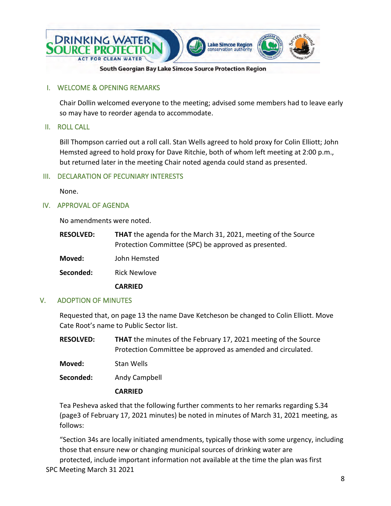

#### I. WELCOME & OPENING REMARKS

Chair Dollin welcomed everyone to the meeting; advised some members had to leave early so may have to reorder agenda to accommodate.

II. ROLL CALL

Bill Thompson carried out a roll call. Stan Wells agreed to hold proxy for Colin Elliott; John Hemsted agreed to hold proxy for Dave Ritchie, both of whom left meeting at 2:00 p.m., but returned later in the meeting Chair noted agenda could stand as presented.

#### III. DECLARATION OF PECUNIARY INTERESTS

None.

#### IV. APPROVAL OF AGENDA

No amendments were noted.

| <b>RESOLVED:</b> | <b>THAT</b> the agenda for the March 31, 2021, meeting of the Source |
|------------------|----------------------------------------------------------------------|
|                  | Protection Committee (SPC) be approved as presented.                 |

**Moved:** John Hemsted

**Seconded:** Rick Newlove

**CARRIED**

#### V. ADOPTION OF MINUTES

Requested that, on page 13 the name Dave Ketcheson be changed to Colin Elliott. Move Cate Root's name to Public Sector list.

**RESOLVED: THAT** the minutes of the February 17, 2021 meeting of the Source Protection Committee be approved as amended and circulated.

**Moved:** Stan Wells

**Seconded:** Andy Campbell

#### **CARRIED**

Tea Pesheva asked that the following further comments to her remarks regarding S.34 (page3 of February 17, 2021 minutes) be noted in minutes of March 31, 2021 meeting, as follows:

SPC Meeting March 31 2021 "Section 34s are locally initiated amendments, typically those with some urgency, including those that ensure new or changing municipal sources of drinking water are protected, include important information not available at the time the plan was first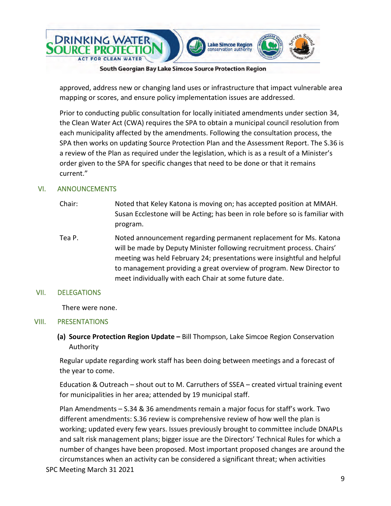

approved, address new or changing land uses or infrastructure that impact vulnerable area mapping or scores, and ensure policy implementation issues are addressed.

Prior to conducting public consultation for locally initiated amendments under section 34, the Clean Water Act (CWA) requires the SPA to obtain a municipal council resolution from each municipality affected by the amendments. Following the consultation process, the SPA then works on updating Source Protection Plan and the Assessment Report. The S.36 is a review of the Plan as required under the legislation, which is as a result of a Minister's order given to the SPA for specific changes that need to be done or that it remains current."

## VI. ANNOUNCEMENTS

- Chair: Noted that Keley Katona is moving on; has accepted position at MMAH. Susan Ecclestone will be Acting; has been in role before so is familiar with program.
- Tea P. Noted announcement regarding permanent replacement for Ms. Katona will be made by Deputy Minister following recruitment process. Chairs' meeting was held February 24; presentations were insightful and helpful to management providing a great overview of program. New Director to meet individually with each Chair at some future date.

## VII. DELEGATIONS

There were none.

## VIII. PRESENTATIONS

## **(a) Source Protection Region Update –** Bill Thompson, Lake Simcoe Region Conservation Authority

Regular update regarding work staff has been doing between meetings and a forecast of the year to come.

Education & Outreach – shout out to M. Carruthers of SSEA – created virtual training event for municipalities in her area; attended by 19 municipal staff.

SPC Meeting March 31 2021 Plan Amendments – S.34 & 36 amendments remain a major focus for staff's work. Two different amendments: S.36 review is comprehensive review of how well the plan is working; updated every few years. Issues previously brought to committee include DNAPLs and salt risk management plans; bigger issue are the Directors' Technical Rules for which a number of changes have been proposed. Most important proposed changes are around the circumstances when an activity can be considered a significant threat; when activities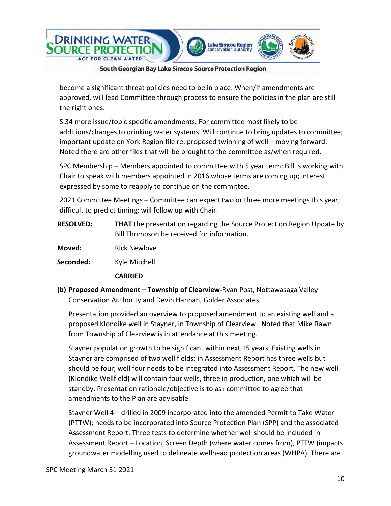

become a significant threat policies need to be in place. When/if amendments are approved, will lead Committee through process to ensure the policies in the plan are still the right ones.

S.34 more issue/topic specific amendments. For committee most likely to be additions/changes to drinking water systems. Will continue to bring updates to committee; important update on York Region file re: proposed twinning of well – moving forward. Noted there are other files that will be brought to the committee as/when required.

SPC Membership – Members appointed to committee with 5 year term; Bill is working with Chair to speak with members appointed in 2016 whose terms are coming up; interest expressed by some to reapply to continue on the committee.

2021 Committee Meetings – Committee can expect two or three more meetings this year; difficult to predict timing; will follow up with Chair.

- **RESOLVED: THAT** the presentation regarding the Source Protection Region Update by Bill Thompson be received for information.
- **Moved:** Rick Newlove
- Seconded: Kyle Mitchell

**CARRIED**

**(b) Proposed Amendment – Township of Clearview-**Ryan Post, Nottawasaga Valley Conservation Authority and Devin Hannan, Golder Associates

Presentation provided an overview to proposed amendment to an existing well and a proposed Klondike well in Stayner, in Township of Clearview. Noted that Mike Rawn from Township of Clearview is in attendance at this meeting.

Stayner population growth to be significant within next 15 years. Existing wells in Stayner are comprised of two well fields; in Assessment Report has three wells but should be four; well four needs to be integrated into Assessment Report. The new well (Klondike Wellfield) will contain four wells, three in production, one which will be standby. Presentation rationale/objective is to ask committee to agree that amendments to the Plan are advisable.

Stayner Well 4 – drilled in 2009 incorporated into the amended Permit to Take Water (PTTW); needs to be incorporated into Source Protection Plan (SPP) and the associated Assessment Report. Three tests to determine whether well should be included in Assessment Report – Location, Screen Depth (where water comes from), PTTW (impacts groundwater modelling used to delineate wellhead protection areas (WHPA). There are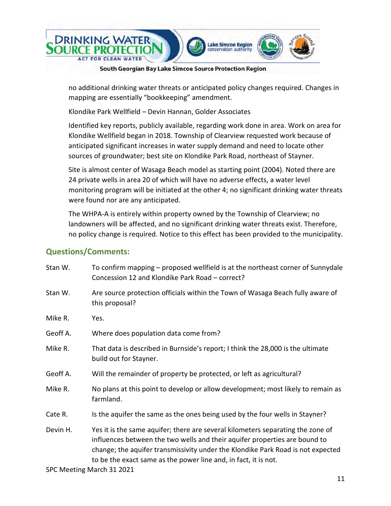

no additional drinking water threats or anticipated policy changes required. Changes in mapping are essentially "bookkeeping" amendment.

Klondike Park Wellfield – Devin Hannan, Golder Associates

Identified key reports, publicly available, regarding work done in area. Work on area for Klondike Wellfield began in 2018. Township of Clearview requested work because of anticipated significant increases in water supply demand and need to locate other sources of groundwater; best site on Klondike Park Road, northeast of Stayner.

Site is almost center of Wasaga Beach model as starting point (2004). Noted there are 24 private wells in area 20 of which will have no adverse effects, a water level monitoring program will be initiated at the other 4; no significant drinking water threats were found nor are any anticipated.

The WHPA-A is entirely within property owned by the Township of Clearview; no landowners will be affected, and no significant drinking water threats exist. Therefore, no policy change is required. Notice to this effect has been provided to the municipality.

## **Questions/Comments:**

| Stan W.  | To confirm mapping – proposed wellfield is at the northeast corner of Sunnydale<br>Concession 12 and Klondike Park Road - correct?                                                                                                                                                                                                    |
|----------|---------------------------------------------------------------------------------------------------------------------------------------------------------------------------------------------------------------------------------------------------------------------------------------------------------------------------------------|
| Stan W.  | Are source protection officials within the Town of Wasaga Beach fully aware of<br>this proposal?                                                                                                                                                                                                                                      |
| Mike R.  | Yes.                                                                                                                                                                                                                                                                                                                                  |
| Geoff A. | Where does population data come from?                                                                                                                                                                                                                                                                                                 |
| Mike R.  | That data is described in Burnside's report; I think the 28,000 is the ultimate<br>build out for Stayner.                                                                                                                                                                                                                             |
| Geoff A. | Will the remainder of property be protected, or left as agricultural?                                                                                                                                                                                                                                                                 |
| Mike R.  | No plans at this point to develop or allow development; most likely to remain as<br>farmland.                                                                                                                                                                                                                                         |
| Cate R.  | Is the aquifer the same as the ones being used by the four wells in Stayner?                                                                                                                                                                                                                                                          |
| Devin H. | Yes it is the same aquifer; there are several kilometers separating the zone of<br>influences between the two wells and their aquifer properties are bound to<br>change; the aquifer transmissivity under the Klondike Park Road is not expected<br>to be the exact same as the power line and, in fact, it is not.<br>$\overline{a}$ |

SPC Meeting March 31 2021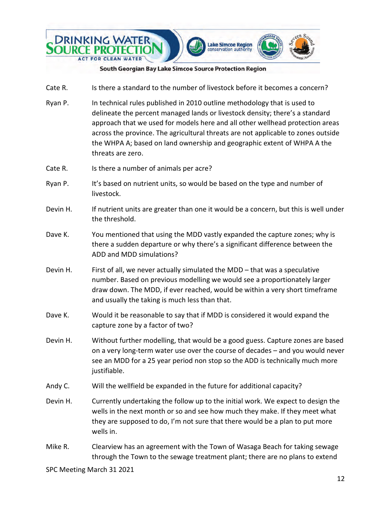

- Cate R. Is there a standard to the number of livestock before it becomes a concern?
- Ryan P. In technical rules published in 2010 outline methodology that is used to delineate the percent managed lands or livestock density; there's a standard approach that we used for models here and all other wellhead protection areas across the province. The agricultural threats are not applicable to zones outside the WHPA A; based on land ownership and geographic extent of WHPA A the threats are zero.
- Cate R. Is there a number of animals per acre?
- Ryan P. It's based on nutrient units, so would be based on the type and number of livestock.
- Devin H. If nutrient units are greater than one it would be a concern, but this is well under the threshold.
- Dave K. You mentioned that using the MDD vastly expanded the capture zones; why is there a sudden departure or why there's a significant difference between the ADD and MDD simulations?
- Devin H. First of all, we never actually simulated the MDD that was a speculative number. Based on previous modelling we would see a proportionately larger draw down. The MDD, if ever reached, would be within a very short timeframe and usually the taking is much less than that.
- Dave K. Would it be reasonable to say that if MDD is considered it would expand the capture zone by a factor of two?
- Devin H. Without further modelling, that would be a good guess. Capture zones are based on a very long-term water use over the course of decades – and you would never see an MDD for a 25 year period non stop so the ADD is technically much more justifiable.
- Andy C. Will the wellfield be expanded in the future for additional capacity?
- Devin H. Currently undertaking the follow up to the initial work. We expect to design the wells in the next month or so and see how much they make. If they meet what they are supposed to do, I'm not sure that there would be a plan to put more wells in.
- Mike R. Clearview has an agreement with the Town of Wasaga Beach for taking sewage through the Town to the sewage treatment plant; there are no plans to extend

SPC Meeting March 31 2021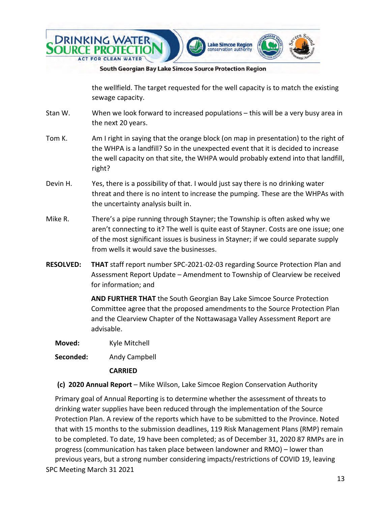

the wellfield. The target requested for the well capacity is to match the existing sewage capacity.

- Stan W. When we look forward to increased populations this will be a very busy area in the next 20 years.
- Tom K. Am I right in saying that the orange block (on map in presentation) to the right of the WHPA is a landfill? So in the unexpected event that it is decided to increase the well capacity on that site, the WHPA would probably extend into that landfill, right?
- Devin H. Yes, there is a possibility of that. I would just say there is no drinking water threat and there is no intent to increase the pumping. These are the WHPAs with the uncertainty analysis built in.
- Mike R. There's a pipe running through Stayner; the Township is often asked why we aren't connecting to it? The well is quite east of Stayner. Costs are one issue; one of the most significant issues is business in Stayner; if we could separate supply from wells it would save the businesses.
- **RESOLVED: THAT** staff report number SPC-2021-02-03 regarding Source Protection Plan and Assessment Report Update – Amendment to Township of Clearview be received for information; and

**AND FURTHER THAT** the South Georgian Bay Lake Simcoe Source Protection Committee agree that the proposed amendments to the Source Protection Plan and the Clearview Chapter of the Nottawasaga Valley Assessment Report are advisable.

- **Moved:** Kyle Mitchell
- **Seconded:** Andy Campbell

#### **CARRIED**

**(c) 2020 Annual Report** – Mike Wilson, Lake Simcoe Region Conservation Authority

SPC Meeting March 31 2021 Primary goal of Annual Reporting is to determine whether the assessment of threats to drinking water supplies have been reduced through the implementation of the Source Protection Plan. A review of the reports which have to be submitted to the Province. Noted that with 15 months to the submission deadlines, 119 Risk Management Plans (RMP) remain to be completed. To date, 19 have been completed; as of December 31, 2020 87 RMPs are in progress (communication has taken place between landowner and RMO) – lower than previous years, but a strong number considering impacts/restrictions of COVID 19, leaving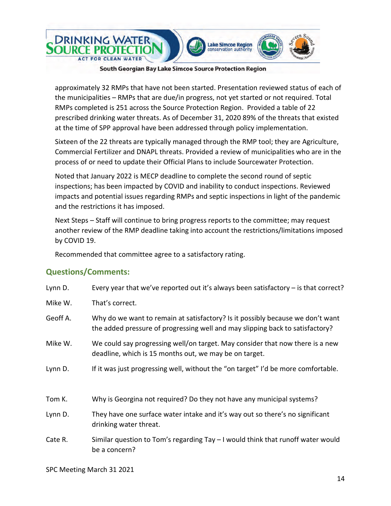

approximately 32 RMPs that have not been started. Presentation reviewed status of each of the municipalities – RMPs that are due/in progress, not yet started or not required. Total RMPs completed is 251 across the Source Protection Region. Provided a table of 22 prescribed drinking water threats. As of December 31, 2020 89% of the threats that existed at the time of SPP approval have been addressed through policy implementation.

Sixteen of the 22 threats are typically managed through the RMP tool; they are Agriculture, Commercial Fertilizer and DNAPL threats. Provided a review of municipalities who are in the process of or need to update their Official Plans to include Sourcewater Protection.

Noted that January 2022 is MECP deadline to complete the second round of septic inspections; has been impacted by COVID and inability to conduct inspections. Reviewed impacts and potential issues regarding RMPs and septic inspections in light of the pandemic and the restrictions it has imposed.

Next Steps – Staff will continue to bring progress reports to the committee; may request another review of the RMP deadline taking into account the restrictions/limitations imposed by COVID 19.

Recommended that committee agree to a satisfactory rating.

## **Questions/Comments:**

| Lynn D.  | Every year that we've reported out it's always been satisfactory - is that correct?                                                                             |  |
|----------|-----------------------------------------------------------------------------------------------------------------------------------------------------------------|--|
| Mike W.  | That's correct.                                                                                                                                                 |  |
| Geoff A. | Why do we want to remain at satisfactory? Is it possibly because we don't want<br>the added pressure of progressing well and may slipping back to satisfactory? |  |
| Mike W.  | We could say progressing well/on target. May consider that now there is a new<br>deadline, which is 15 months out, we may be on target.                         |  |
| Lynn D.  | If it was just progressing well, without the "on target" I'd be more comfortable.                                                                               |  |
| Tom K.   | Why is Georgina not required? Do they not have any municipal systems?                                                                                           |  |
| Lynn D.  | They have one surface water intake and it's way out so there's no significant<br>drinking water threat.                                                         |  |
| Cate R.  | Similar question to Tom's regarding Tay $-1$ would think that runoff water would<br>be a concern?                                                               |  |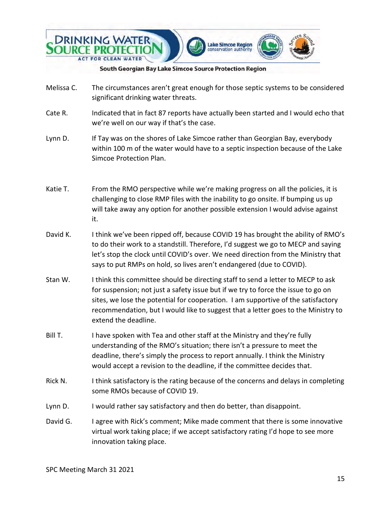

- Melissa C. The circumstances aren't great enough for those septic systems to be considered significant drinking water threats.
- Cate R. Indicated that in fact 87 reports have actually been started and I would echo that we're well on our way if that's the case.
- Lynn D. If Tay was on the shores of Lake Simcoe rather than Georgian Bay, everybody within 100 m of the water would have to a septic inspection because of the Lake Simcoe Protection Plan.
- Katie T. From the RMO perspective while we're making progress on all the policies, it is challenging to close RMP files with the inability to go onsite. If bumping us up will take away any option for another possible extension I would advise against it.
- David K. I think we've been ripped off, because COVID 19 has brought the ability of RMO's to do their work to a standstill. Therefore, I'd suggest we go to MECP and saying let's stop the clock until COVID's over. We need direction from the Ministry that says to put RMPs on hold, so lives aren't endangered (due to COVID).
- Stan W. I think this committee should be directing staff to send a letter to MECP to ask for suspension; not just a safety issue but if we try to force the issue to go on sites, we lose the potential for cooperation. I am supportive of the satisfactory recommendation, but I would like to suggest that a letter goes to the Ministry to extend the deadline.
- Bill T. I have spoken with Tea and other staff at the Ministry and they're fully understanding of the RMO's situation; there isn't a pressure to meet the deadline, there's simply the process to report annually. I think the Ministry would accept a revision to the deadline, if the committee decides that.
- Rick N. I think satisfactory is the rating because of the concerns and delays in completing some RMOs because of COVID 19.
- Lynn D. I would rather say satisfactory and then do better, than disappoint.
- David G. I agree with Rick's comment; Mike made comment that there is some innovative virtual work taking place; if we accept satisfactory rating I'd hope to see more innovation taking place.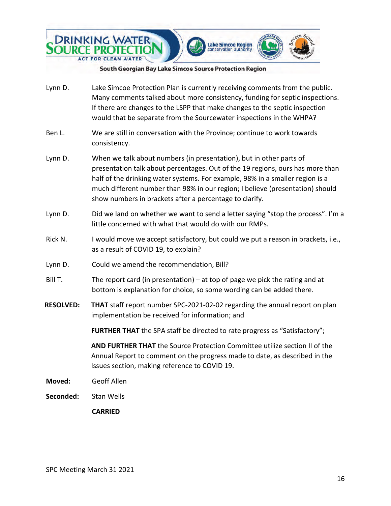





- Lynn D. Lake Simcoe Protection Plan is currently receiving comments from the public. Many comments talked about more consistency, funding for septic inspections. If there are changes to the LSPP that make changes to the septic inspection would that be separate from the Sourcewater inspections in the WHPA?
- Ben L. We are still in conversation with the Province; continue to work towards consistency.
- Lynn D. When we talk about numbers (in presentation), but in other parts of presentation talk about percentages. Out of the 19 regions, ours has more than half of the drinking water systems. For example, 98% in a smaller region is a much different number than 98% in our region; I believe (presentation) should show numbers in brackets after a percentage to clarify.
- Lynn D. Did we land on whether we want to send a letter saying "stop the process". I'm a little concerned with what that would do with our RMPs.
- Rick N. I would move we accept satisfactory, but could we put a reason in brackets, i.e., as a result of COVID 19, to explain?
- Lynn D. Could we amend the recommendation, Bill?
- Bill T. The report card (in presentation) at top of page we pick the rating and at bottom is explanation for choice, so some wording can be added there.
- **RESOLVED: THAT** staff report number SPC-2021-02-02 regarding the annual report on plan implementation be received for information; and

**FURTHER THAT** the SPA staff be directed to rate progress as "Satisfactory";

**AND FURTHER THAT** the Source Protection Committee utilize section II of the Annual Report to comment on the progress made to date, as described in the Issues section, making reference to COVID 19.

- **Moved:** Geoff Allen
- **Seconded:** Stan Wells

 **CARRIED**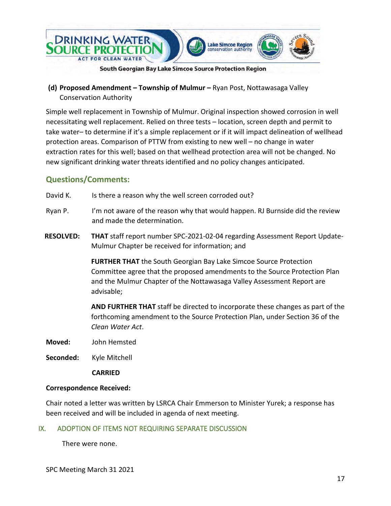

**(d) Proposed Amendment – Township of Mulmur –** Ryan Post, Nottawasaga Valley Conservation Authority

Simple well replacement in Township of Mulmur. Original inspection showed corrosion in well necessitating well replacement. Relied on three tests – location, screen depth and permit to take water– to determine if it's a simple replacement or if it will impact delineation of wellhead protection areas. Comparison of PTTW from existing to new well – no change in water extraction rates for this well; based on that wellhead protection area will not be changed. No new significant drinking water threats identified and no policy changes anticipated.

## **Questions/Comments:**

- David K. Is there a reason why the well screen corroded out?
- Ryan P. I'm not aware of the reason why that would happen. RJ Burnside did the review and made the determination.
- **RESOLVED: THAT** staff report number SPC-2021-02-04 regarding Assessment Report Update-Mulmur Chapter be received for information; and

**FURTHER THAT** the South Georgian Bay Lake Simcoe Source Protection Committee agree that the proposed amendments to the Source Protection Plan and the Mulmur Chapter of the Nottawasaga Valley Assessment Report are advisable;

**AND FURTHER THAT** staff be directed to incorporate these changes as part of the forthcoming amendment to the Source Protection Plan, under Section 36 of the *Clean Water Act*.

- **Moved:** John Hemsted
- **Seconded:** Kyle Mitchell

**CARRIED**

#### **Correspondence Received:**

Chair noted a letter was written by LSRCA Chair Emmerson to Minister Yurek; a response has been received and will be included in agenda of next meeting.

## IX. ADOPTION OF ITEMS NOT REQUIRING SEPARATE DISCUSSION

There were none.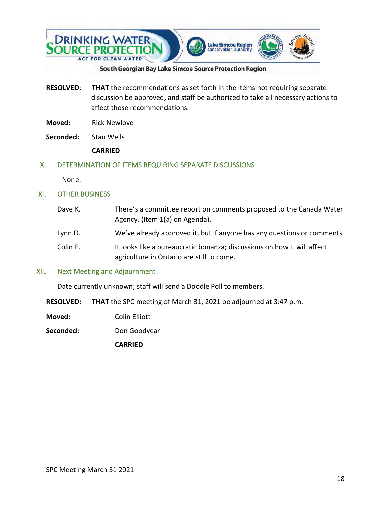

- **RESOLVED**: **THAT** the recommendations as set forth in the items not requiring separate discussion be approved, and staff be authorized to take all necessary actions to affect those recommendations.
- **Moved:** Rick Newlove
- **Seconded:** Stan Wells

**CARRIED**

## X. DETERMINATION OF ITEMS REQUIRING SEPARATE DISCUSSIONS

None.

- XI. OTHER BUSINESS
	- Dave K. There's a committee report on comments proposed to the Canada Water Agency. (Item 1(a) on Agenda).
	- Lynn D. We've already approved it, but if anyone has any questions or comments.
	- Colin E. It looks like a bureaucratic bonanza; discussions on how it will affect agriculture in Ontario are still to come.

#### XII. Next Meeting and Adjournment

Date currently unknown; staff will send a Doodle Poll to members.

- **RESOLVED: THAT** the SPC meeting of March 31, 2021 be adjourned at 3:47 p.m.
- **Moved:** Colin Elliott
- Seconded: Don Goodyear

**CARRIED**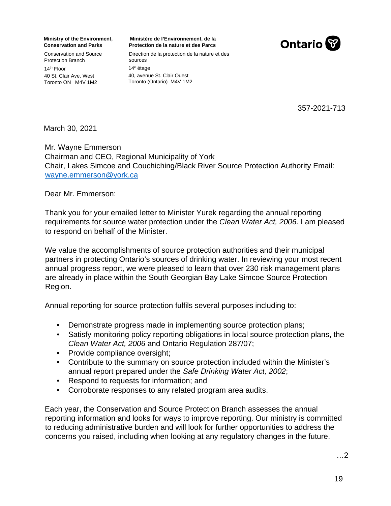Conservation and Source Protection Branch 14th Floor 40 St. Clair Ave. West Toronto ON M4V 1M2

**Ministry of the Environment, Ministère de l'Environnement, de la Conservation and Parks Protection de la nature et des Parcs** 



Direction de la protection de la nature et des sources 14e étage 40, avenue St. Clair Ouest Toronto (Ontario) M4V 1M2

357-2021-713

March 30, 2021

Mr. Wayne Emmerson Chairman and CEO, Regional Municipality of York Chair, Lakes Simcoe and Couchiching/Black River Source Protection Authority Email: wayne.emmerson@york.ca

Dear Mr. Emmerson:

Thank you for your emailed letter to Minister Yurek regarding the annual reporting requirements for source water protection under the *Clean Water Act, 2006.* I am pleased to respond on behalf of the Minister.

We value the accomplishments of source protection authorities and their municipal partners in protecting Ontario's sources of drinking water. In reviewing your most recent annual progress report, we were pleased to learn that over 230 risk management plans are already in place within the South Georgian Bay Lake Simcoe Source Protection Region.

Annual reporting for source protection fulfils several purposes including to:

- Demonstrate progress made in implementing source protection plans;
- Satisfy monitoring policy reporting obligations in local source protection plans, the *Clean Water Act, 2006* and Ontario Regulation 287/07;
- Provide compliance oversight;
- Contribute to the summary on source protection included within the Minister's annual report prepared under the *Safe Drinking Water Act, 2002*;
- Respond to requests for information; and
- Corroborate responses to any related program area audits.

Each year, the Conservation and Source Protection Branch assesses the annual reporting information and looks for ways to improve reporting. Our ministry is committed to reducing administrative burden and will look for further opportunities to address the concerns you raised, including when looking at any regulatory changes in the future.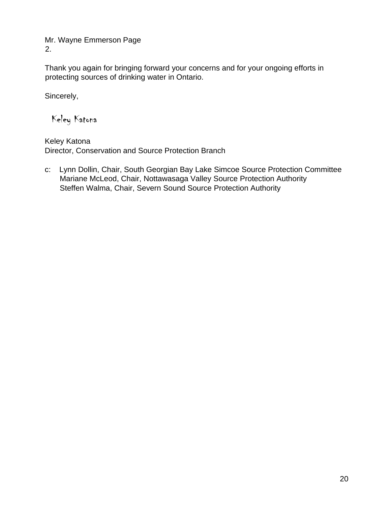Mr. Wayne Emmerson Page 2.

Thank you again for bringing forward your concerns and for your ongoing efforts in protecting sources of drinking water in Ontario.

Sincerely,

Keley Katona

Keley Katona Director, Conservation and Source Protection Branch

c: Lynn Dollin, Chair, South Georgian Bay Lake Simcoe Source Protection Committee Mariane McLeod, Chair, Nottawasaga Valley Source Protection Authority Steffen Walma, Chair, Severn Sound Source Protection Authority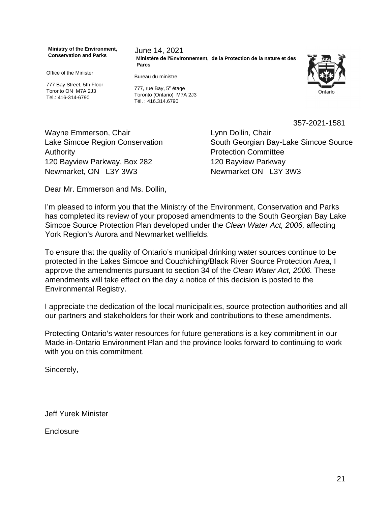**Ministry of the Environment, Conservation and Parks** 

June 14, 2021 **Ministère de l'Environnement, de la Protection de la nature et des Parcs** 

Office of the Minister

777 Bay Street, 5th Floor Toronto ON M7A 2J3 Tel.: 416-314-6790

Bureau du ministre

777, rue Bay, 5<sup>e</sup> étage Toronto (Ontario) M7A 2J3 Tél. : 416.314.6790



357-2021-1581

Wayne Emmerson, Chair Lynn Dollin, Chair Authority **Protection Committee** 120 Bayview Parkway, Box 282 120 Bayview Parkway Newmarket, ON L3Y 3W3 Newmarket ON L3Y 3W3

Lake Simcoe Region Conservation South Georgian Bay-Lake Simcoe Source

Dear Mr. Emmerson and Ms. Dollin,

I'm pleased to inform you that the Ministry of the Environment, Conservation and Parks has completed its review of your proposed amendments to the South Georgian Bay Lake Simcoe Source Protection Plan developed under the *Clean Water Act, 2006,* affecting York Region's Aurora and Newmarket wellfields.

To ensure that the quality of Ontario's municipal drinking water sources continue to be protected in the Lakes Simcoe and Couchiching/Black River Source Protection Area, I approve the amendments pursuant to section 34 of the *Clean Water Act, 2006.* These amendments will take effect on the day a notice of this decision is posted to the Environmental Registry.

I appreciate the dedication of the local municipalities, source protection authorities and all our partners and stakeholders for their work and contributions to these amendments.

Protecting Ontario's water resources for future generations is a key commitment in our Made-in-Ontario Environment Plan and the province looks forward to continuing to work with you on this commitment.

Sincerely,

Jeff Yurek Minister

**Enclosure**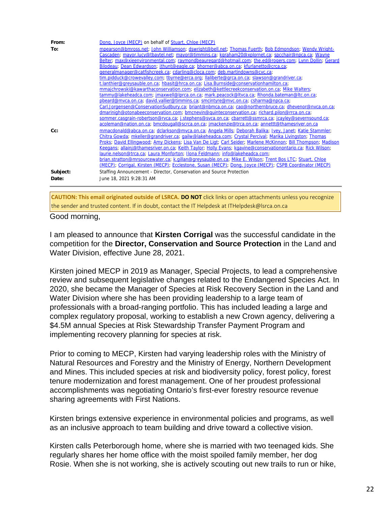| From:    | Dong, Joyce (MECP) on behalf of Stuart, Chloe (MECP)                                                          |
|----------|---------------------------------------------------------------------------------------------------------------|
| To:      | mpearson@bmross.net; John Williamson; dswright@bell.net; Thomas Fuerth; Bob Edmondson; Wendy Wright-          |
|          | Cascaden; mayor.lucy@tbaytel.net; mayor@timmins.ca; kgraham20@xplornet.ca; spcchair@npca.ca; Wayne            |
|          | Belter; max@xieenvironmental.com; raymondbeauregard@hotmail.com; the.ed@rogers.com; Lynn Dollin; Gerard       |
|          | Bilodeau; Dean Edwardson; jthunt@eagle.ca; bhorner@abca.on.ca; kfurlanetto@crca.ca;                           |
|          | generalmanager@catfishcreek.ca; cdarling@cloca.com; deb.martindowns@cvc.ca;                                   |
|          | tim.pidduck@crowevalley.com; tbyrne@erca.org; llaliberte@grca.on.ca; slawson@grandriver.ca;                   |
|          | t.lanthier@greysauble.on.ca; hbasit@hrca.on.ca; Lisa.Burnside@conservationhamilton.ca;                        |
|          | mmajchrowski@kawarthaconservation.com; elizabeth@kettlecreekconservation.on.ca; Mike Walters;                 |
|          | tammy@lakeheadca.com; jmaxwell@lprca.on.ca; mark.peacock@ltvca.ca; Rhonda.bateman@ltc.on.ca;                  |
|          | pbeard@mvca.on.ca; david.vallier@timmins.ca; smcintyre@mvc.on.ca; csharma@npca.ca;                            |
|          | Carl.Jorgensen@ConservationSudbury.ca; briant@nbmca.on.ca; cao@northernbruce.ca; dhevenor@nvca.on.ca;         |
|          | dmarinigh@otonabeeconservation.com; bmcnevin@quinteconservation.ca; richard.pilon@rrca.on.ca;                 |
|          | sommer.casgrain-robertson@rvca.ca; j.stephens@svca.on.ca; cbarrett@ssmrca.ca; jcayley@severnsound.ca;         |
|          | acoleman@nation.on.ca; bmcdougall@scrca.on.ca; jmackenzie@trca.on.ca; annettt@thamesriver.on.ca               |
| Cc:      | mmacdonald@abca.on.ca; dclarkson@mvca.on.ca; Angela Mills; Deborah Balika; Ivey, Janet; Katie Stammler;       |
|          | Chitra Gowda; mkeller@grandriver.ca; gailw@lakeheadca.com; Crystal Percival; Marika Livingston; Thomas        |
|          | Proks; David Ellingwood; Amy Dickens; Lisa Van De Ligt; Carl Seider; Marlene McKinnon; Bill Thompson; Madison |
|          | Keegans; allainj@thamesriver.on.ca; Keith Taylor; Holly Evans; kgavine@conservationontario.ca; Rick Wilson;   |
|          | laurie.nelson@trca.ca, Laura Monforton, Ilona Feldmann, info@lakeheadca.com,                                  |
|          | brian.stratton@mrsourcewater.ca, k.gillan@greysauble.on.ca, Mike E. Wilson, Trent Bos LTC; Stuart, Chloe      |
|          | (MECP); Corrigal, Kirsten (MECP); Ecclestone, Susan (MECP); Dong, Joyce (MECP); CSPB Coordinator (MECP)       |
| Subject: | Staffing Announcement - Director, Conservation and Source Protection                                          |
| Date:    | June 18, 2021 9:28:31 AM                                                                                      |
|          |                                                                                                               |
|          |                                                                                                               |

**CAUTION: This email originated outside of LSRCA. DO NOT** click links or open attachments unless you recognize the sender and trusted content. If in doubt, contact the IT Helpdesk at ITHelpdesk@lsrca.on.ca

### Good morning,

I am pleased to announce that **Kirsten Corrigal** was the successful candidate in the competition for the **Director, Conservation and Source Protection** in the Land and Water Division, effective June 28, 2021.

Kirsten joined MECP in 2019 as Manager, Special Projects, to lead a comprehensive review and subsequent legislative changes related to the Endangered Species Act. In 2020, she became the Manager of Species at Risk Recovery Section in the Land and Water Division where she has been providing leadership to a large team of professionals with a broad-ranging portfolio. This has included leading a large and complex regulatory proposal, working to establish a new Crown agency, delivering a \$4.5M annual Species at Risk Stewardship Transfer Payment Program and implementing recovery planning for species at risk.

Prior to coming to MECP, Kirsten had varying leadership roles with the Ministry of Natural Resources and Forestry and the Ministry of Energy, Northern Development and Mines. This included species at risk and biodiversity policy, forest policy, forest tenure modernization and forest management. One of her proudest professional accomplishments was negotiating Ontario's first-ever forestry resource revenue sharing agreements with First Nations.

Kirsten brings extensive experience in environmental policies and programs, as well as an inclusive approach to team building and drive toward a collective vision.

Kirsten calls Peterborough home, where she is married with two teenaged kids. She regularly shares her home office with the moist spoiled family member, her dog Rosie. When she is not working, she is actively scouting out new trails to run or hike,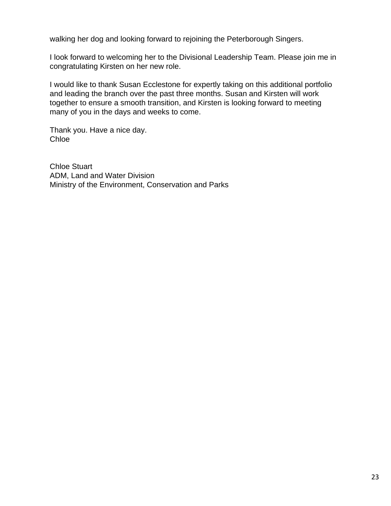walking her dog and looking forward to rejoining the Peterborough Singers.

I look forward to welcoming her to the Divisional Leadership Team. Please join me in congratulating Kirsten on her new role.

I would like to thank Susan Ecclestone for expertly taking on this additional portfolio and leading the branch over the past three months. Susan and Kirsten will work together to ensure a smooth transition, and Kirsten is looking forward to meeting many of you in the days and weeks to come.

Thank you. Have a nice day. **Chloe** 

Chloe Stuart ADM, Land and Water Division Ministry of the Environment, Conservation and Parks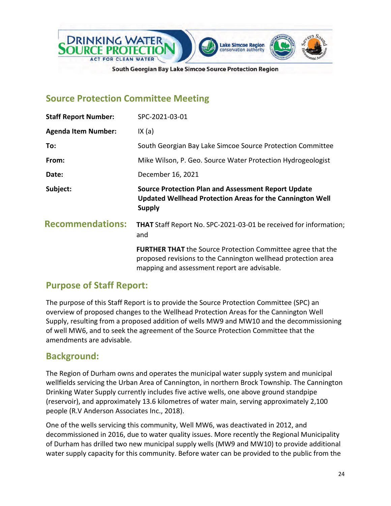

# **Source Protection Committee Meeting**

| <b>Staff Report Number:</b> | SPC-2021-03-01                                                                                                                                                                      |
|-----------------------------|-------------------------------------------------------------------------------------------------------------------------------------------------------------------------------------|
| <b>Agenda Item Number:</b>  | IX(a)                                                                                                                                                                               |
| To:                         | South Georgian Bay Lake Simcoe Source Protection Committee                                                                                                                          |
| From:                       | Mike Wilson, P. Geo. Source Water Protection Hydrogeologist                                                                                                                         |
| Date:                       | December 16, 2021                                                                                                                                                                   |
| Subject:                    | <b>Source Protection Plan and Assessment Report Update</b><br>Updated Wellhead Protection Areas for the Cannington Well<br><b>Supply</b>                                            |
| <b>Recommendations:</b>     | THAT Staff Report No. SPC-2021-03-01 be received for information;<br>and                                                                                                            |
|                             | <b>FURTHER THAT</b> the Source Protection Committee agree that the<br>proposed revisions to the Cannington wellhead protection area<br>mapping and assessment report are advisable. |

# **Purpose of Staff Report:**

The purpose of this Staff Report is to provide the Source Protection Committee (SPC) an overview of proposed changes to the Wellhead Protection Areas for the Cannington Well Supply, resulting from a proposed addition of wells MW9 and MW10 and the decommissioning of well MW6, and to seek the agreement of the Source Protection Committee that the amendments are advisable.

# **Background:**

The Region of Durham owns and operates the municipal water supply system and municipal wellfields servicing the Urban Area of Cannington, in northern Brock Township. The Cannington Drinking Water Supply currently includes five active wells, one above ground standpipe (reservoir), and approximately 13.6 kilometres of water main, serving approximately 2,100 people (R.V Anderson Associates Inc., 2018).

One of the wells servicing this community, Well MW6, was deactivated in 2012, and decommissioned in 2016, due to water quality issues. More recently the Regional Municipality of Durham has drilled two new municipal supply wells (MW9 and MW10) to provide additional water supply capacity for this community. Before water can be provided to the public from the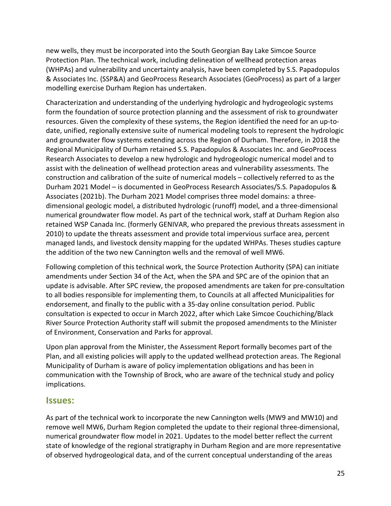new wells, they must be incorporated into the South Georgian Bay Lake Simcoe Source Protection Plan. The technical work, including delineation of wellhead protection areas (WHPAs) and vulnerability and uncertainty analysis, have been completed by S.S. Papadopulos & Associates Inc. (SSP&A) and GeoProcess Research Associates (GeoProcess) as part of a larger modelling exercise Durham Region has undertaken.

Characterization and understanding of the underlying hydrologic and hydrogeologic systems form the foundation of source protection planning and the assessment of risk to groundwater resources. Given the complexity of these systems, the Region identified the need for an up-todate, unified, regionally extensive suite of numerical modeling tools to represent the hydrologic and groundwater flow systems extending across the Region of Durham. Therefore, in 2018 the Regional Municipality of Durham retained S.S. Papadopulos & Associates Inc. and GeoProcess Research Associates to develop a new hydrologic and hydrogeologic numerical model and to assist with the delineation of wellhead protection areas and vulnerability assessments. The construction and calibration of the suite of numerical models – collectively referred to as the Durham 2021 Model – is documented in GeoProcess Research Associates/S.S. Papadopulos & Associates (2021b). The Durham 2021 Model comprises three model domains: a threedimensional geologic model, a distributed hydrologic (runoff) model, and a three-dimensional numerical groundwater flow model. As part of the technical work, staff at Durham Region also retained WSP Canada Inc. (formerly GENIVAR, who prepared the previous threats assessment in 2010) to update the threats assessment and provide total impervious surface area, percent managed lands, and livestock density mapping for the updated WHPAs. Theses studies capture the addition of the two new Cannington wells and the removal of well MW6.

Following completion of this technical work, the Source Protection Authority (SPA) can initiate amendments under Section 34 of the Act, when the SPA and SPC are of the opinion that an update is advisable. After SPC review, the proposed amendments are taken for pre-consultation to all bodies responsible for implementing them, to Councils at all affected Municipalities for endorsement, and finally to the public with a 35-day online consultation period. Public consultation is expected to occur in March 2022, after which Lake Simcoe Couchiching/Black River Source Protection Authority staff will submit the proposed amendments to the Minister of Environment, Conservation and Parks for approval.

Upon plan approval from the Minister, the Assessment Report formally becomes part of the Plan, and all existing policies will apply to the updated wellhead protection areas. The Regional Municipality of Durham is aware of policy implementation obligations and has been in communication with the Township of Brock, who are aware of the technical study and policy implications.

## **Issues:**

As part of the technical work to incorporate the new Cannington wells (MW9 and MW10) and remove well MW6, Durham Region completed the update to their regional three-dimensional, numerical groundwater flow model in 2021. Updates to the model better reflect the current state of knowledge of the regional stratigraphy in Durham Region and are more representative of observed hydrogeological data, and of the current conceptual understanding of the areas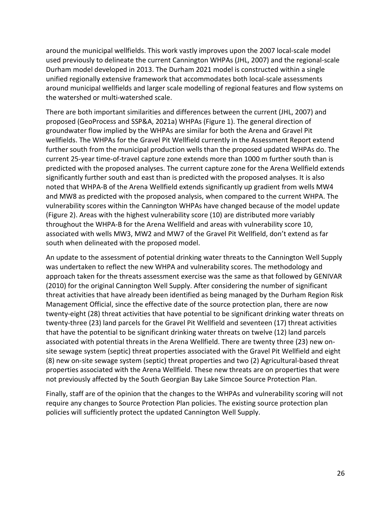around the municipal wellfields. This work vastly improves upon the 2007 local-scale model used previously to delineate the current Cannington WHPAs (JHL, 2007) and the regional-scale Durham model developed in 2013. The Durham 2021 model is constructed within a single unified regionally extensive framework that accommodates both local-scale assessments around municipal wellfields and larger scale modelling of regional features and flow systems on the watershed or multi-watershed scale.

There are both important similarities and differences between the current (JHL, 2007) and proposed (GeoProcess and SSP&A, 2021a) WHPAs [\(Figure 1\).](#page-29-0) The general direction of groundwater flow implied by the WHPAs are similar for both the Arena and Gravel Pit wellfields. The WHPAs for the Gravel Pit Wellfield currently in the Assessment Report extend further south from the municipal production wells than the proposed updated WHPAs do. The current 25-year time-of-travel capture zone extends more than 1000 m further south than is predicted with the proposed analyses. The current capture zone for the Arena Wellfield extends significantly further south and east than is predicted with the proposed analyses. It is also noted that WHPA-B of the Arena Wellfield extends significantly up gradient from wells MW4 and MW8 as predicted with the proposed analysis, when compared to the current WHPA. The vulnerability scores within the Cannington WHPAs have changed because of the model update [\(Figure 2\)](#page-27-0). Areas with the highest vulnerability score (10) are distributed more variably throughout the WHPA-B for the Arena Wellfield and areas with vulnerability score 10, associated with wells MW3, MW2 and MW7 of the Gravel Pit Wellfield, don't extend as far south when delineated with the proposed model.

An update to the assessment of potential drinking water threats to the Cannington Well Supply was undertaken to reflect the new WHPA and vulnerability scores. The methodology and approach taken for the threats assessment exercise was the same as that followed by GENIVAR (2010) for the original Cannington Well Supply. After considering the number of significant threat activities that have already been identified as being managed by the Durham Region Risk Management Official, since the effective date of the source protection plan, there are now twenty-eight (28) threat activities that have potential to be significant drinking water threats on twenty-three (23) land parcels for the Gravel Pit Wellfield and seventeen (17) threat activities that have the potential to be significant drinking water threats on twelve (12) land parcels associated with potential threats in the Arena Wellfield. There are twenty three (23) new onsite sewage system (septic) threat properties associated with the Gravel Pit Wellfield and eight (8) new on-site sewage system (septic) threat properties and two (2) Agricultural-based threat properties associated with the Arena Wellfield. These new threats are on properties that were not previously affected by the South Georgian Bay Lake Simcoe Source Protection Plan.

Finally, staff are of the opinion that the changes to the WHPAs and vulnerability scoring will not require any changes to Source Protection Plan policies. The existing source protection plan policies will sufficiently protect the updated Cannington Well Supply.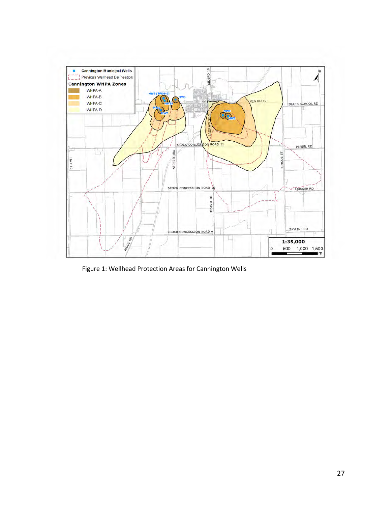

Figure 1: Wellhead Protection Areas for Cannington Wells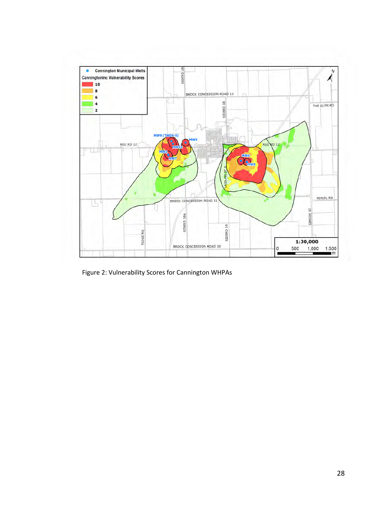

<span id="page-27-0"></span>Figure 2: Vulnerability Scores for Cannington WHPAs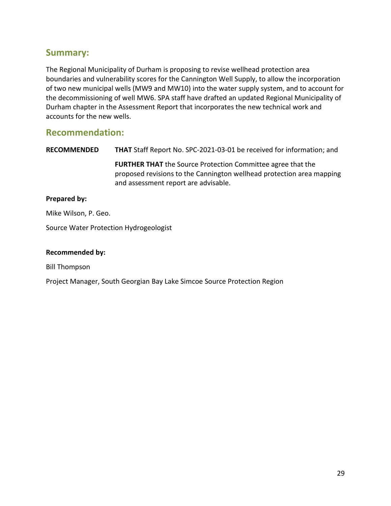# **Summary:**

The Regional Municipality of Durham is proposing to revise wellhead protection area boundaries and vulnerability scores for the Cannington Well Supply, to allow the incorporation of two new municipal wells (MW9 and MW10) into the water supply system, and to account for the decommissioning of well MW6. SPA staff have drafted an updated Regional Municipality of Durham chapter in the Assessment Report that incorporates the new technical work and accounts for the new wells.

# **Recommendation:**

**RECOMMENDED THAT** Staff Report No. SPC-2021-03-01 be received for information; and **FURTHER THAT** the Source Protection Committee agree that the proposed revisions to the Cannington wellhead protection area mapping and assessment report are advisable.

### **Prepared by:**

Mike Wilson, P. Geo.

Source Water Protection Hydrogeologist

### **Recommended by:**

Bill Thompson

Project Manager, South Georgian Bay Lake Simcoe Source Protection Region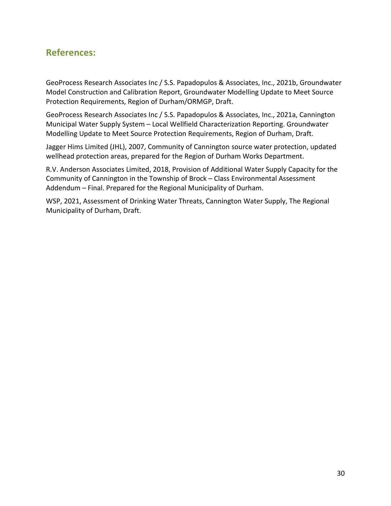# **References:**

GeoProcess Research Associates Inc / S.S. Papadopulos & Associates, Inc., 2021b, Groundwater Model Construction and Calibration Report, Groundwater Modelling Update to Meet Source Protection Requirements, Region of Durham/ORMGP, Draft.

GeoProcess Research Associates Inc / S.S. Papadopulos & Associates, Inc., 2021a, Cannington Municipal Water Supply System – Local Wellfield Characterization Reporting. Groundwater Modelling Update to Meet Source Protection Requirements, Region of Durham, Draft.

Jagger Hims Limited (JHL), 2007, Community of Cannington source water protection, updated wellhead protection areas, prepared for the Region of Durham Works Department.

R.V. Anderson Associates Limited, 2018, Provision of Additional Water Supply Capacity for the Community of Cannington in the Township of Brock – Class Environmental Assessment Addendum – Final. Prepared for the Regional Municipality of Durham.

<span id="page-29-0"></span>WSP, 2021, Assessment of Drinking Water Threats, Cannington Water Supply, The Regional Municipality of Durham, Draft.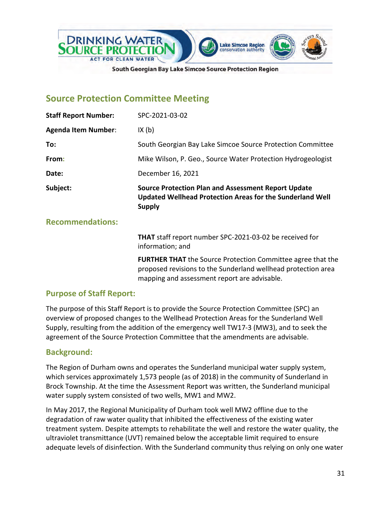

# **Source Protection Committee Meeting**

| Subject:                    | <b>Source Protection Plan and Assessment Report Update</b><br>Updated Wellhead Protection Areas for the Sunderland Well<br><b>Supply</b> |
|-----------------------------|------------------------------------------------------------------------------------------------------------------------------------------|
| Date:                       | December 16, 2021                                                                                                                        |
| From:                       | Mike Wilson, P. Geo., Source Water Protection Hydrogeologist                                                                             |
| To:                         | South Georgian Bay Lake Simcoe Source Protection Committee                                                                               |
| <b>Agenda Item Number:</b>  | IX(b)                                                                                                                                    |
| <b>Staff Report Number:</b> | SPC-2021-03-02                                                                                                                           |

## **Recommendations:**

**THAT** staff report number SPC-2021-03-02 be received for information; and

**FURTHER THAT** the Source Protection Committee agree that the proposed revisions to the Sunderland wellhead protection area mapping and assessment report are advisable.

## **Purpose of Staff Report:**

The purpose of this Staff Report is to provide the Source Protection Committee (SPC) an overview of proposed changes to the Wellhead Protection Areas for the Sunderland Well Supply, resulting from the addition of the emergency well TW17-3 (MW3), and to seek the agreement of the Source Protection Committee that the amendments are advisable.

## **Background:**

The Region of Durham owns and operates the Sunderland municipal water supply system, which services approximately 1,573 people (as of 2018) in the community of Sunderland in Brock Township. At the time the Assessment Report was written, the Sunderland municipal water supply system consisted of two wells, MW1 and MW2.

In May 2017, the Regional Municipality of Durham took well MW2 offline due to the degradation of raw water quality that inhibited the effectiveness of the existing water treatment system. Despite attempts to rehabilitate the well and restore the water quality, the ultraviolet transmittance (UVT) remained below the acceptable limit required to ensure adequate levels of disinfection. With the Sunderland community thus relying on only one water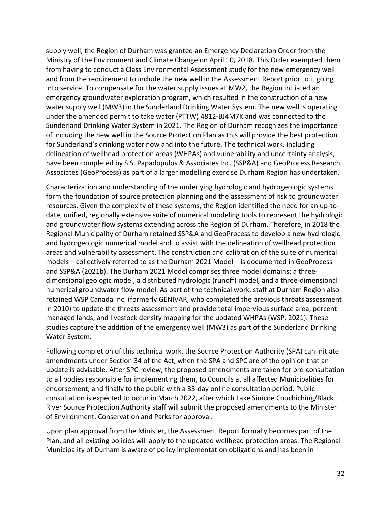supply well, the Region of Durham was granted an Emergency Declaration Order from the Ministry of the Environment and Climate Change on April 10, 2018. This Order exempted them from having to conduct a Class Environmental Assessment study for the new emergency well and from the requirement to include the new well in the Assessment Report prior to it going into service. To compensate for the water supply issues at MW2, the Region initiated an emergency groundwater exploration program, which resulted in the construction of a new water supply well (MW3) in the Sunderland Drinking Water System. The new well is operating under the amended permit to take water (PTTW) 4812-BJ4M7K and was connected to the Sunderland Drinking Water System in 2021. The Region of Durham recognizes the importance of including the new well in the Source Protection Plan as this will provide the best protection for Sunderland's drinking water now and into the future. The technical work, including delineation of wellhead protection areas (WHPAs) and vulnerability and uncertainty analysis, have been completed by S.S. Papadopulos & Associates Inc. (SSP&A) and GeoProcess Research Associates (GeoProcess) as part of a larger modelling exercise Durham Region has undertaken.

Characterization and understanding of the underlying hydrologic and hydrogeologic systems form the foundation of source protection planning and the assessment of risk to groundwater resources. Given the complexity of these systems, the Region identified the need for an up-todate, unified, regionally extensive suite of numerical modeling tools to represent the hydrologic and groundwater flow systems extending across the Region of Durham. Therefore, in 2018 the Regional Municipality of Durham retained SSP&A and GeoProcess to develop a new hydrologic and hydrogeologic numerical model and to assist with the delineation of wellhead protection areas and vulnerability assessment. The construction and calibration of the suite of numerical models – collectively referred to as the Durham 2021 Model – is documented in GeoProcess and SSP&A (2021b). The Durham 2021 Model comprises three model domains: a threedimensional geologic model, a distributed hydrologic (runoff) model, and a three-dimensional numerical groundwater flow model. As part of the technical work, staff at Durham Region also retained WSP Canada Inc. (formerly GENIVAR, who completed the previous threats assessment in 2010) to update the threats assessment and provide total impervious surface area, percent managed lands, and livestock density mapping for the updated WHPAs (WSP, 2021). These studies capture the addition of the emergency well (MW3) as part of the Sunderland Drinking Water System.

Following completion of this technical work, the Source Protection Authority (SPA) can initiate amendments under Section 34 of the Act, when the SPA and SPC are of the opinion that an update is advisable. After SPC review, the proposed amendments are taken for pre-consultation to all bodies responsible for implementing them, to Councils at all affected Municipalities for endorsement, and finally to the public with a 35-day online consultation period. Public consultation is expected to occur in March 2022, after which Lake Simcoe Couchiching/Black River Source Protection Authority staff will submit the proposed amendments to the Minister of Environment, Conservation and Parks for approval.

Upon plan approval from the Minister, the Assessment Report formally becomes part of the Plan, and all existing policies will apply to the updated wellhead protection areas. The Regional Municipality of Durham is aware of policy implementation obligations and has been in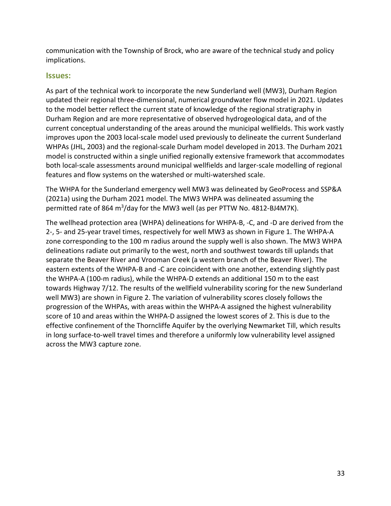communication with the Township of Brock, who are aware of the technical study and policy implications.

### **Issues:**

As part of the technical work to incorporate the new Sunderland well (MW3), Durham Region updated their regional three-dimensional, numerical groundwater flow model in 2021. Updates to the model better reflect the current state of knowledge of the regional stratigraphy in Durham Region and are more representative of observed hydrogeological data, and of the current conceptual understanding of the areas around the municipal wellfields. This work vastly improves upon the 2003 local-scale model used previously to delineate the current Sunderland WHPAs (JHL, 2003) and the regional-scale Durham model developed in 2013. The Durham 2021 model is constructed within a single unified regionally extensive framework that accommodates both local-scale assessments around municipal wellfields and larger-scale modelling of regional features and flow systems on the watershed or multi-watershed scale.

The WHPA for the Sunderland emergency well MW3 was delineated by GeoProcess and SSP&A (2021a) using the Durham 2021 model. The MW3 WHPA was delineated assuming the permitted rate of 864 m<sup>3</sup>/day for the MW3 well (as per PTTW No. 4812-BJ4M7K).

The wellhead protection area (WHPA) delineations for WHPA-B, -C, and -D are derived from the 2-, 5- and 25-year travel times, respectively for well MW3 as shown in [Figure 1.](#page-33-0) The WHPA-A zone corresponding to the 100 m radius around the supply well is also shown. The MW3 WHPA delineations radiate out primarily to the west, north and southwest towards till uplands that separate the Beaver River and Vrooman Creek (a western branch of the Beaver River). The eastern extents of the WHPA-B and -C are coincident with one another, extending slightly past the WHPA-A (100-m radius), while the WHPA-D extends an additional 150 m to the east towards Highway 7/12. The results of the wellfield vulnerability scoring for the new Sunderland well MW3) are shown in [Figure 2.](#page-34-0) The variation of vulnerability scores closely follows the progression of the WHPAs, with areas within the WHPA-A assigned the highest vulnerability score of 10 and areas within the WHPA-D assigned the lowest scores of 2. This is due to the effective confinement of the Thorncliffe Aquifer by the overlying Newmarket Till, which results in long surface-to-well travel times and therefore a uniformly low vulnerability level assigned across the MW3 capture zone.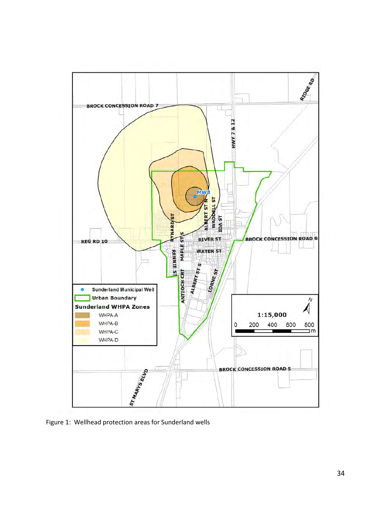

<span id="page-33-0"></span>Figure 1: Wellhead protection areas for Sunderland wells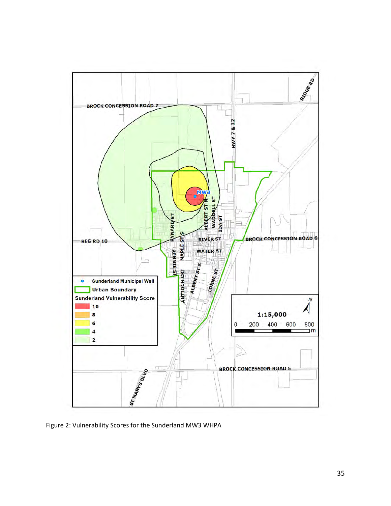

<span id="page-34-0"></span>Figure 2: Vulnerability Scores for the Sunderland MW3 WHPA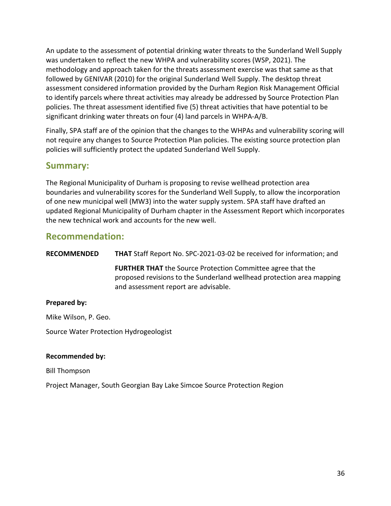An update to the assessment of potential drinking water threats to the Sunderland Well Supply was undertaken to reflect the new WHPA and vulnerability scores (WSP, 2021). The methodology and approach taken for the threats assessment exercise was that same as that followed by GENIVAR (2010) for the original Sunderland Well Supply. The desktop threat assessment considered information provided by the Durham Region Risk Management Official to identify parcels where threat activities may already be addressed by Source Protection Plan policies. The threat assessment identified five (5) threat activities that have potential to be significant drinking water threats on four (4) land parcels in WHPA-A/B.

Finally, SPA staff are of the opinion that the changes to the WHPAs and vulnerability scoring will not require any changes to Source Protection Plan policies. The existing source protection plan policies will sufficiently protect the updated Sunderland Well Supply.

# **Summary:**

The Regional Municipality of Durham is proposing to revise wellhead protection area boundaries and vulnerability scores for the Sunderland Well Supply, to allow the incorporation of one new municipal well (MW3) into the water supply system. SPA staff have drafted an updated Regional Municipality of Durham chapter in the Assessment Report which incorporates the new technical work and accounts for the new well.

# **Recommendation:**

**RECOMMENDED THAT** Staff Report No. SPC-2021-03-02 be received for information; and

**FURTHER THAT** the Source Protection Committee agree that the proposed revisions to the Sunderland wellhead protection area mapping and assessment report are advisable.

## **Prepared by:**

Mike Wilson, P. Geo.

Source Water Protection Hydrogeologist

## **Recommended by:**

Bill Thompson

Project Manager, South Georgian Bay Lake Simcoe Source Protection Region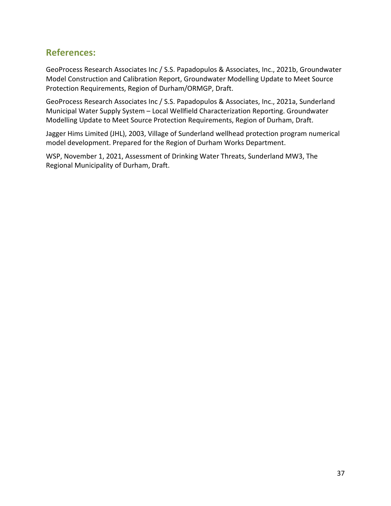# **References:**

GeoProcess Research Associates Inc / S.S. Papadopulos & Associates, Inc., 2021b, Groundwater Model Construction and Calibration Report, Groundwater Modelling Update to Meet Source Protection Requirements, Region of Durham/ORMGP, Draft.

GeoProcess Research Associates Inc / S.S. Papadopulos & Associates, Inc., 2021a, Sunderland Municipal Water Supply System – Local Wellfield Characterization Reporting. Groundwater Modelling Update to Meet Source Protection Requirements, Region of Durham, Draft.

Jagger Hims Limited (JHL), 2003, Village of Sunderland wellhead protection program numerical model development. Prepared for the Region of Durham Works Department.

WSP, November 1, 2021, Assessment of Drinking Water Threats, Sunderland MW3, The Regional Municipality of Durham, Draft.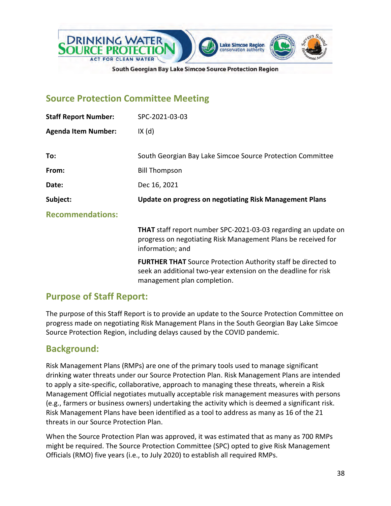

# **Source Protection Committee Meeting**

| <b>Staff Report Number:</b> | SPC-2021-03-03                                                                                                                                                        |
|-----------------------------|-----------------------------------------------------------------------------------------------------------------------------------------------------------------------|
| <b>Agenda Item Number:</b>  | IX(d)                                                                                                                                                                 |
|                             |                                                                                                                                                                       |
| To:                         | South Georgian Bay Lake Simcoe Source Protection Committee                                                                                                            |
| From:                       | <b>Bill Thompson</b>                                                                                                                                                  |
| Date:                       | Dec 16, 2021                                                                                                                                                          |
| Subject:                    | <b>Update on progress on negotiating Risk Management Plans</b>                                                                                                        |
| <b>Recommendations:</b>     |                                                                                                                                                                       |
|                             | <b>THAT</b> staff report number SPC-2021-03-03 regarding an update on<br>progress on negotiating Risk Management Plans be received for<br>information; and            |
|                             | <b>FURTHER THAT</b> Source Protection Authority staff be directed to<br>seek an additional two-year extension on the deadline for risk<br>management plan completion. |

# **Purpose of Staff Report:**

The purpose of this Staff Report is to provide an update to the Source Protection Committee on progress made on negotiating Risk Management Plans in the South Georgian Bay Lake Simcoe Source Protection Region, including delays caused by the COVID pandemic.

# **Background:**

Risk Management Plans (RMPs) are one of the primary tools used to manage significant drinking water threats under our Source Protection Plan. Risk Management Plans are intended to apply a site-specific, collaborative, approach to managing these threats, wherein a Risk Management Official negotiates mutually acceptable risk management measures with persons (e.g., farmers or business owners) undertaking the activity which is deemed a significant risk. Risk Management Plans have been identified as a tool to address as many as 16 of the 21 threats in our Source Protection Plan.

When the Source Protection Plan was approved, it was estimated that as many as 700 RMPs might be required. The Source Protection Committee (SPC) opted to give Risk Management Officials (RMO) five years (i.e., to July 2020) to establish all required RMPs.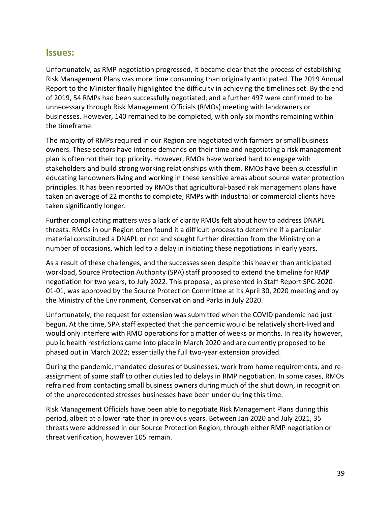## **Issues:**

Unfortunately, as RMP negotiation progressed, it became clear that the process of establishing Risk Management Plans was more time consuming than originally anticipated. The 2019 Annual Report to the Minister finally highlighted the difficulty in achieving the timelines set. By the end of 2019, 54 RMPs had been successfully negotiated, and a further 497 were confirmed to be unnecessary through Risk Management Officials (RMOs) meeting with landowners or businesses. However, 140 remained to be completed, with only six months remaining within the timeframe.

The majority of RMPs required in our Region are negotiated with farmers or small business owners. These sectors have intense demands on their time and negotiating a risk management plan is often not their top priority. However, RMOs have worked hard to engage with stakeholders and build strong working relationships with them. RMOs have been successful in educating landowners living and working in these sensitive areas about source water protection principles. It has been reported by RMOs that agricultural-based risk management plans have taken an average of 22 months to complete; RMPs with industrial or commercial clients have taken significantly longer.

Further complicating matters was a lack of clarity RMOs felt about how to address DNAPL threats. RMOs in our Region often found it a difficult process to determine if a particular material constituted a DNAPL or not and sought further direction from the Ministry on a number of occasions, which led to a delay in initiating these negotiations in early years.

As a result of these challenges, and the successes seen despite this heavier than anticipated workload, Source Protection Authority (SPA) staff proposed to extend the timeline for RMP negotiation for two years, to July 2022. This proposal, as presented in Staff Report SPC-2020- 01-01, was approved by the Source Protection Committee at its April 30, 2020 meeting and by the Ministry of the Environment, Conservation and Parks in July 2020.

Unfortunately, the request for extension was submitted when the COVID pandemic had just begun. At the time, SPA staff expected that the pandemic would be relatively short-lived and would only interfere with RMO operations for a matter of weeks or months. In reality however, public health restrictions came into place in March 2020 and are currently proposed to be phased out in March 2022; essentially the full two-year extension provided.

During the pandemic, mandated closures of businesses, work from home requirements, and reassignment of some staff to other duties led to delays in RMP negotiation. In some cases, RMOs refrained from contacting small business owners during much of the shut down, in recognition of the unprecedented stresses businesses have been under during this time.

Risk Management Officials have been able to negotiate Risk Management Plans during this period, albeit at a lower rate than in previous years. Between Jan 2020 and July 2021, 35 threats were addressed in our Source Protection Region, through either RMP negotiation or threat verification, however 105 remain.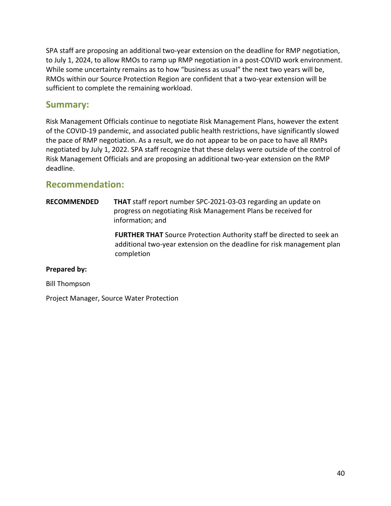SPA staff are proposing an additional two-year extension on the deadline for RMP negotiation, to July 1, 2024, to allow RMOs to ramp up RMP negotiation in a post-COVID work environment. While some uncertainty remains as to how "business as usual" the next two years will be, RMOs within our Source Protection Region are confident that a two-year extension will be sufficient to complete the remaining workload.

# **Summary:**

Risk Management Officials continue to negotiate Risk Management Plans, however the extent of the COVID-19 pandemic, and associated public health restrictions, have significantly slowed the pace of RMP negotiation. As a result, we do not appear to be on pace to have all RMPs negotiated by July 1, 2022. SPA staff recognize that these delays were outside of the control of Risk Management Officials and are proposing an additional two-year extension on the RMP deadline.

# **Recommendation:**

**RECOMMENDED THAT** staff report number SPC-2021-03-03 regarding an update on progress on negotiating Risk Management Plans be received for information; and

> **FURTHER THAT** Source Protection Authority staff be directed to seek an additional two-year extension on the deadline for risk management plan completion

## **Prepared by:**

Bill Thompson

Project Manager, Source Water Protection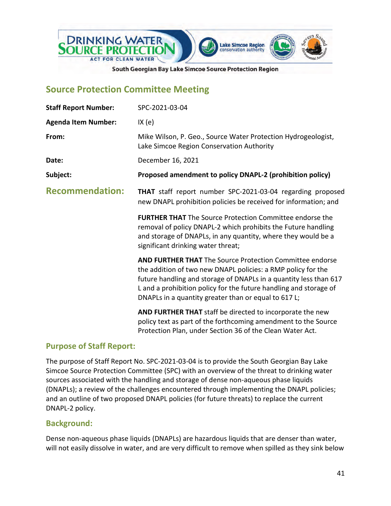

# **Source Protection Committee Meeting**

| <b>Staff Report Number:</b> | SPC-2021-03-04                                                                                                                                                                                                                                                                                                                    |
|-----------------------------|-----------------------------------------------------------------------------------------------------------------------------------------------------------------------------------------------------------------------------------------------------------------------------------------------------------------------------------|
| <b>Agenda Item Number:</b>  | IX(e)                                                                                                                                                                                                                                                                                                                             |
| From:                       | Mike Wilson, P. Geo., Source Water Protection Hydrogeologist,<br>Lake Simcoe Region Conservation Authority                                                                                                                                                                                                                        |
| Date:                       | December 16, 2021                                                                                                                                                                                                                                                                                                                 |
| Subject:                    | Proposed amendment to policy DNAPL-2 (prohibition policy)                                                                                                                                                                                                                                                                         |
| <b>Recommendation:</b>      | THAT staff report number SPC-2021-03-04 regarding proposed<br>new DNAPL prohibition policies be received for information; and                                                                                                                                                                                                     |
|                             | <b>FURTHER THAT</b> The Source Protection Committee endorse the<br>removal of policy DNAPL-2 which prohibits the Future handling<br>and storage of DNAPLs, in any quantity, where they would be a<br>significant drinking water threat;                                                                                           |
|                             | <b>AND FURTHER THAT</b> The Source Protection Committee endorse<br>the addition of two new DNAPL policies: a RMP policy for the<br>future handling and storage of DNAPLs in a quantity less than 617<br>L and a prohibition policy for the future handling and storage of<br>DNAPLs in a quantity greater than or equal to 617 L; |
|                             | AND FURTHER THAT staff be directed to incorporate the new<br>policy text as part of the forthcoming amendment to the Source<br>Protection Plan, under Section 36 of the Clean Water Act.                                                                                                                                          |

## **Purpose of Staff Report:**

The purpose of Staff Report No. SPC-2021-03-04 is to provide the South Georgian Bay Lake Simcoe Source Protection Committee (SPC) with an overview of the threat to drinking water sources associated with the handling and storage of dense non-aqueous phase liquids (DNAPLs); a review of the challenges encountered through implementing the DNAPL policies; and an outline of two proposed DNAPL policies (for future threats) to replace the current DNAPL-2 policy.

## **Background:**

Dense non-aqueous phase liquids (DNAPLs) are hazardous liquids that are denser than water, will not easily dissolve in water, and are very difficult to remove when spilled as they sink below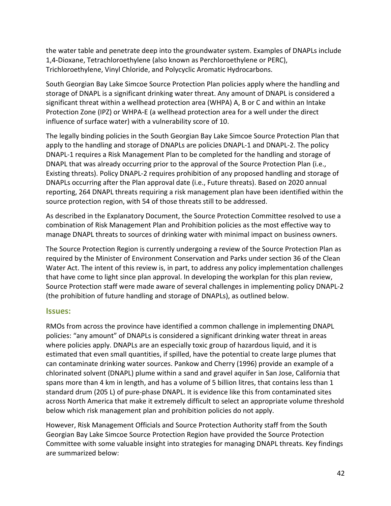the water table and penetrate deep into the groundwater system. Examples of DNAPLs include 1,4-Dioxane, Tetrachloroethylene (also known as Perchloroethylene or PERC), Trichloroethylene, Vinyl Chloride, and Polycyclic Aromatic Hydrocarbons.

South Georgian Bay Lake Simcoe Source Protection Plan policies apply where the handling and storage of DNAPL is a significant drinking water threat. Any amount of DNAPL is considered a significant threat within a wellhead protection area (WHPA) A, B or C and within an Intake Protection Zone (IPZ) or WHPA-E (a wellhead protection area for a well under the direct influence of surface water) with a vulnerability score of 10.

The legally binding policies in the South Georgian Bay Lake Simcoe Source Protection Plan that apply to the handling and storage of DNAPLs are policies DNAPL-1 and DNAPL-2. The policy DNAPL-1 requires a Risk Management Plan to be completed for the handling and storage of DNAPL that was already occurring prior to the approval of the Source Protection Plan (i.e., Existing threats). Policy DNAPL-2 requires prohibition of any proposed handling and storage of DNAPLs occurring after the Plan approval date (i.e., Future threats). Based on 2020 annual reporting, 264 DNAPL threats requiring a risk management plan have been identified within the source protection region, with 54 of those threats still to be addressed.

As described in the Explanatory Document, the Source Protection Committee resolved to use a combination of Risk Management Plan and Prohibition policies as the most effective way to manage DNAPL threats to sources of drinking water with minimal impact on business owners.

The Source Protection Region is currently undergoing a review of the Source Protection Plan as required by the Minister of Environment Conservation and Parks under section 36 of the Clean Water Act. The intent of this review is, in part, to address any policy implementation challenges that have come to light since plan approval. In developing the workplan for this plan review, Source Protection staff were made aware of several challenges in implementing policy DNAPL-2 (the prohibition of future handling and storage of DNAPLs), as outlined below.

## **Issues:**

RMOs from across the province have identified a common challenge in implementing DNAPL policies: "any amount" of DNAPLs is considered a significant drinking water threat in areas where policies apply. DNAPLs are an especially toxic group of hazardous liquid, and it is estimated that even small quantities, if spilled, have the potential to create large plumes that can contaminate drinking water sources. Pankow and Cherry (1996) provide an example of a chlorinated solvent (DNAPL) plume within a sand and gravel aquifer in San Jose, California that spans more than 4 km in length, and has a volume of 5 billion litres, that contains less than 1 standard drum (205 L) of pure-phase DNAPL. It is evidence like this from contaminated sites across North America that make it extremely difficult to select an appropriate volume threshold below which risk management plan and prohibition policies do not apply.

However, Risk Management Officials and Source Protection Authority staff from the South Georgian Bay Lake Simcoe Source Protection Region have provided the Source Protection Committee with some valuable insight into strategies for managing DNAPL threats. Key findings are summarized below: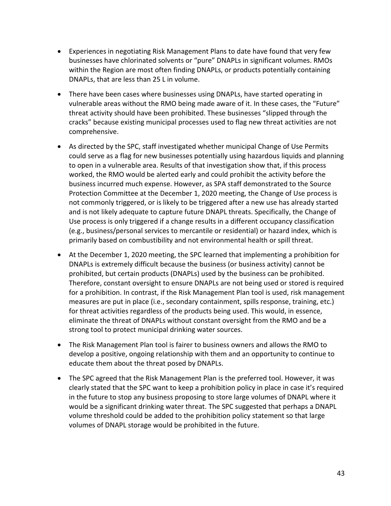- Experiences in negotiating Risk Management Plans to date have found that very few businesses have chlorinated solvents or "pure" DNAPLs in significant volumes. RMOs within the Region are most often finding DNAPLs, or products potentially containing DNAPLs, that are less than 25 L in volume.
- There have been cases where businesses using DNAPLs, have started operating in vulnerable areas without the RMO being made aware of it. In these cases, the "Future" threat activity should have been prohibited. These businesses "slipped through the cracks" because existing municipal processes used to flag new threat activities are not comprehensive.
- As directed by the SPC, staff investigated whether municipal Change of Use Permits could serve as a flag for new businesses potentially using hazardous liquids and planning to open in a vulnerable area. Results of that investigation show that, if this process worked, the RMO would be alerted early and could prohibit the activity before the business incurred much expense. However, as SPA staff demonstrated to the Source Protection Committee at the December 1, 2020 meeting, the Change of Use process is not commonly triggered, or is likely to be triggered after a new use has already started and is not likely adequate to capture future DNAPL threats. Specifically, the Change of Use process is only triggered if a change results in a different occupancy classification (e.g., business/personal services to mercantile or residential) or hazard index, which is primarily based on combustibility and not environmental health or spill threat.
- At the December 1, 2020 meeting, the SPC learned that implementing a prohibition for DNAPLs is extremely difficult because the business (or business activity) cannot be prohibited, but certain products (DNAPLs) used by the business can be prohibited. Therefore, constant oversight to ensure DNAPLs are not being used or stored is required for a prohibition. In contrast, if the Risk Management Plan tool is used, risk management measures are put in place (i.e., secondary containment, spills response, training, etc.) for threat activities regardless of the products being used. This would, in essence, eliminate the threat of DNAPLs without constant oversight from the RMO and be a strong tool to protect municipal drinking water sources.
- The Risk Management Plan tool is fairer to business owners and allows the RMO to develop a positive, ongoing relationship with them and an opportunity to continue to educate them about the threat posed by DNAPLs.
- The SPC agreed that the Risk Management Plan is the preferred tool. However, it was clearly stated that the SPC want to keep a prohibition policy in place in case it's required in the future to stop any business proposing to store large volumes of DNAPL where it would be a significant drinking water threat. The SPC suggested that perhaps a DNAPL volume threshold could be added to the prohibition policy statement so that large volumes of DNAPL storage would be prohibited in the future.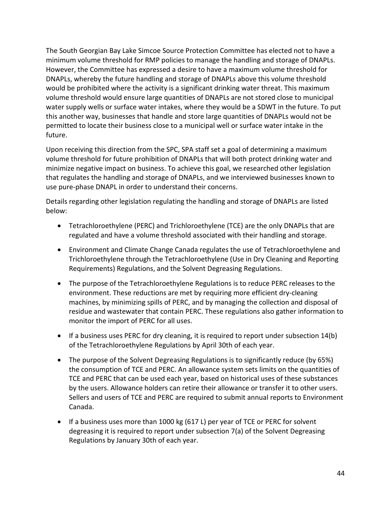The South Georgian Bay Lake Simcoe Source Protection Committee has elected not to have a minimum volume threshold for RMP policies to manage the handling and storage of DNAPLs. However, the Committee has expressed a desire to have a maximum volume threshold for DNAPLs, whereby the future handling and storage of DNAPLs above this volume threshold would be prohibited where the activity is a significant drinking water threat. This maximum volume threshold would ensure large quantities of DNAPLs are not stored close to municipal water supply wells or surface water intakes, where they would be a SDWT in the future. To put this another way, businesses that handle and store large quantities of DNAPLs would not be permitted to locate their business close to a municipal well or surface water intake in the future.

Upon receiving this direction from the SPC, SPA staff set a goal of determining a maximum volume threshold for future prohibition of DNAPLs that will both protect drinking water and minimize negative impact on business. To achieve this goal, we researched other legislation that regulates the handling and storage of DNAPLs, and we interviewed businesses known to use pure-phase DNAPL in order to understand their concerns.

Details regarding other legislation regulating the handling and storage of DNAPLs are listed below:

- Tetrachloroethylene (PERC) and Trichloroethylene (TCE) are the only DNAPLs that are regulated and have a volume threshold associated with their handling and storage.
- Environment and Climate Change Canada regulates the use of Tetrachloroethylene and Trichloroethylene through the Tetrachloroethylene (Use in Dry Cleaning and Reporting Requirements) Regulations, and the Solvent Degreasing Regulations.
- The purpose of the Tetrachloroethylene Regulations is to reduce PERC releases to the environment. These reductions are met by requiring more efficient dry-cleaning machines, by minimizing spills of PERC, and by managing the collection and disposal of residue and wastewater that contain PERC. These regulations also gather information to monitor the import of PERC for all uses.
- If a business uses PERC for dry cleaning, it is required to report under subsection 14(b) of the Tetrachloroethylene Regulations by April 30th of each year.
- The purpose of the Solvent Degreasing Regulations is to significantly reduce (by 65%) the consumption of TCE and PERC. An allowance system sets limits on the quantities of TCE and PERC that can be used each year, based on historical uses of these substances by the users. Allowance holders can retire their allowance or transfer it to other users. Sellers and users of TCE and PERC are required to submit annual reports to Environment Canada.
- If a business uses more than 1000 kg (617 L) per year of TCE or PERC for solvent degreasing it is required to report under subsection 7(a) of the Solvent Degreasing Regulations by January 30th of each year.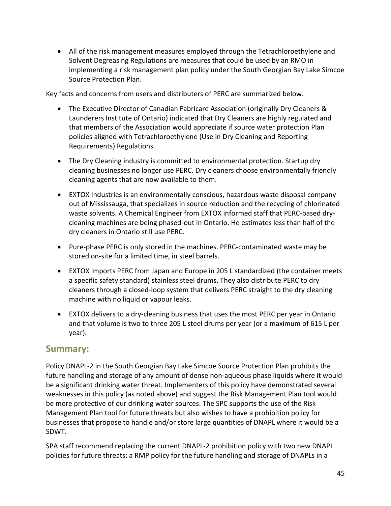• All of the risk management measures employed through the Tetrachloroethylene and Solvent Degreasing Regulations are measures that could be used by an RMO in implementing a risk management plan policy under the South Georgian Bay Lake Simcoe Source Protection Plan.

Key facts and concerns from users and distributers of PERC are summarized below.

- The Executive Director of Canadian Fabricare Association (originally Dry Cleaners & Launderers Institute of Ontario) indicated that Dry Cleaners are highly regulated and that members of the Association would appreciate if source water protection Plan policies aligned with Tetrachloroethylene (Use in Dry Cleaning and Reporting Requirements) Regulations.
- The Dry Cleaning industry is committed to environmental protection. Startup dry cleaning businesses no longer use PERC. Dry cleaners choose environmentally friendly cleaning agents that are now available to them.
- EXTOX Industries is an environmentally conscious, hazardous waste disposal company out of Mississauga, that specializes in source reduction and the recycling of chlorinated waste solvents. A Chemical Engineer from EXTOX informed staff that PERC-based drycleaning machines are being phased-out in Ontario. He estimates less than half of the dry cleaners in Ontario still use PERC.
- Pure-phase PERC is only stored in the machines. PERC-contaminated waste may be stored on-site for a limited time, in steel barrels.
- EXTOX imports PERC from Japan and Europe in 205 L standardized (the container meets a specific safety standard) stainless steel drums. They also distribute PERC to dry cleaners through a closed-loop system that delivers PERC straight to the dry cleaning machine with no liquid or vapour leaks.
- EXTOX delivers to a dry-cleaning business that uses the most PERC per year in Ontario and that volume is two to three 205 L steel drums per year (or a maximum of 615 L per year).

# **Summary:**

Policy DNAPL-2 in the South Georgian Bay Lake Simcoe Source Protection Plan prohibits the future handling and storage of any amount of dense non-aqueous phase liquids where it would be a significant drinking water threat. Implementers of this policy have demonstrated several weaknesses in this policy (as noted above) and suggest the Risk Management Plan tool would be more protective of our drinking water sources. The SPC supports the use of the Risk Management Plan tool for future threats but also wishes to have a prohibition policy for businesses that propose to handle and/or store large quantities of DNAPL where it would be a SDWT.

SPA staff recommend replacing the current DNAPL-2 prohibition policy with two new DNAPL policies for future threats: a RMP policy for the future handling and storage of DNAPLs in a